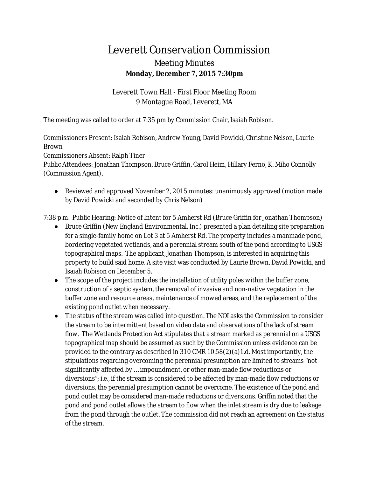## Leverett Conservation Commission Meeting Minutes **Monday, December 7, 2015 7:30pm**

Leverett Town Hall - First Floor Meeting Room 9 Montague Road, Leverett, MA

The meeting was called to order at 7:35 pm by Commission Chair, Isaiah Robison.

Commissioners Present: Isaiah Robison, Andrew Young, David Powicki, Christine Nelson, Laurie Brown

Commissioners Absent: Ralph Tiner

Public Attendees: Jonathan Thompson, Bruce Griffin, Carol Heim, Hillary Ferno, K. Miho Connolly (Commission Agent).

● Reviewed and approved November 2, 2015 minutes: unanimously approved (motion made by David Powicki and seconded by Chris Nelson)

7:38 p.m. Public Hearing: Notice of Intent for 5 Amherst Rd (Bruce Griffin for Jonathan Thompson)

- Bruce Griffin (New England Environmental, Inc.) presented a plan detailing site preparation for a single-family home on Lot 3 at 5 Amherst Rd. The property includes a manmade pond, bordering vegetated wetlands, and a perennial stream south of the pond according to USGS topographical maps. The applicant, Jonathan Thompson, is interested in acquiring this property to build said home. A site visit was conducted by Laurie Brown, David Powicki, and Isaiah Robison on December 5.
- The scope of the project includes the installation of utility poles within the buffer zone, construction of a septic system, the removal of invasive and non-native vegetation in the buffer zone and resource areas, maintenance of mowed areas, and the replacement of the existing pond outlet when necessary.
- The status of the stream was called into question. The NOI asks the Commission to consider the stream to be intermittent based on video data and observations of the lack of stream flow. The Wetlands Protection Act stipulates that a stream marked as perennial on a USGS topographical map should be assumed as such by the Commission unless evidence can be provided to the contrary as described in 310 CMR 10.58(2)(a)1.d. Most importantly, the stipulations regarding overcoming the perennial presumption are limited to streams "not significantly affected by … impoundment, or other man-made flow reductions or diversions"; i.e., if the stream is considered to be affected by man-made flow reductions or diversions, the perennial presumption cannot be overcome. The existence of the pond and pond outlet may be considered man-made reductions or diversions. Griffin noted that the pond and pond outlet allows the stream to flow when the inlet stream is dry due to leakage from the pond through the outlet. The commission did not reach an agreement on the status of the stream.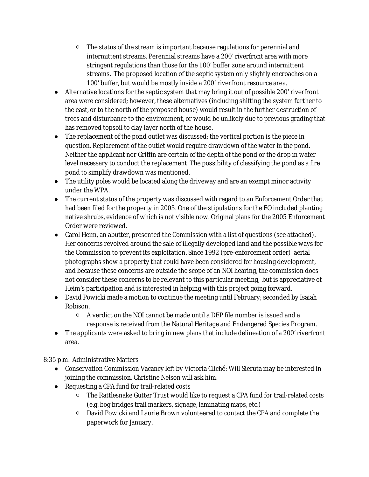- The status of the stream is important because regulations for perennial and intermittent streams. Perennial streams have a 200' riverfront area with more stringent regulations than those for the 100' buffer zone around intermittent streams. The proposed location of the septic system only slightly encroaches on a 100' buffer, but would be mostly inside a 200' riverfront resource area.
- Alternative locations for the septic system that may bring it out of possible 200' riverfront area were considered; however, these alternatives (including shifting the system further to the east, or to the north of the proposed house) would result in the further destruction of trees and disturbance to the environment, or would be unlikely due to previous grading that has removed topsoil to clay layer north of the house.
- The replacement of the pond outlet was discussed; the vertical portion is the piece in question. Replacement of the outlet would require drawdown of the water in the pond. Neither the applicant nor Griffin are certain of the depth of the pond or the drop in water level necessary to conduct the replacement. The possibility of classifying the pond as a fire pond to simplify drawdown was mentioned.
- The utility poles would be located along the driveway and are an exempt minor activity under the WPA.
- The current status of the property was discussed with regard to an Enforcement Order that had been filed for the property in 2005. One of the stipulations for the EO included planting native shrubs, evidence of which is not visible now. Original plans for the 2005 Enforcement Order were reviewed.
- Carol Heim, an abutter, presented the Commission with a list of questions (see attached). Her concerns revolved around the sale of illegally developed land and the possible ways for the Commission to prevent its exploitation. Since 1992 (pre-enforcement order) aerial photographs show a property that could have been considered for housing development, and because these concerns are outside the scope of an NOI hearing, the commission does not consider these concerns to be relevant to this particular meeting, but is appreciative of Heim's participation and is interested in helping with this project going forward.
- David Powicki made a motion to continue the meeting until February; seconded by Isaiah Robison.
	- A verdict on the NOI cannot be made until a DEP file number is issued and a response is received from the Natural Heritage and Endangered Species Program.
- The applicants were asked to bring in new plans that include delineation of a 200' riverfront area.

8:35 p.m. Administrative Matters

- Conservation Commission Vacancy left by Victoria Cliché: Will Sieruta may be interested in joining the commission. Christine Nelson will ask him.
- Requesting a CPA fund for trail-related costs
	- The Rattlesnake Gutter Trust would like to request a CPA fund for trail-related costs (e.g. bog bridges trail markers, signage, laminating maps, etc.)
	- David Powicki and Laurie Brown volunteered to contact the CPA and complete the paperwork for January.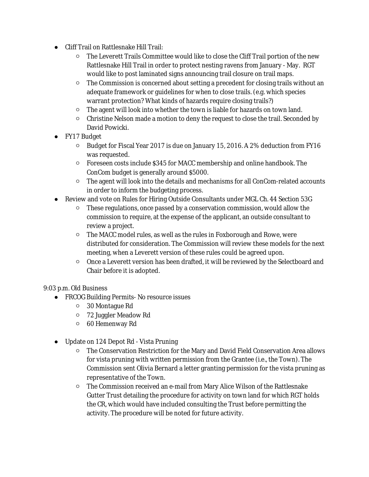- Cliff Trail on Rattlesnake Hill Trail:
	- The Leverett Trails Committee would like to close the Cliff Trail portion of the new Rattlesnake Hill Trail in order to protect nesting ravens from January - May. RGT would like to post laminated signs announcing trail closure on trail maps.
	- The Commission is concerned about setting a precedent for closing trails without an adequate framework or guidelines for when to close trails. (e.g. which species warrant protection? What kinds of hazards require closing trails?)
	- The agent will look into whether the town is liable for hazards on town land.
	- Christine Nelson made a motion to deny the request to close the trail. Seconded by David Powicki.
- FY17 Budget
	- Budget for Fiscal Year 2017 is due on January 15, 2016. A 2% deduction from FY16 was requested.
	- Foreseen costs include \$345 for MACC membership and online handbook. The ConCom budget is generally around \$5000.
	- The agent will look into the details and mechanisms for all ConCom-related accounts in order to inform the budgeting process.
- Review and vote on Rules for Hiring Outside Consultants under MGL Ch. 44 Section 53G
	- These regulations, once passed by a conservation commission, would allow the commission to require, at the expense of the applicant, an outside consultant to review a project.
	- The MACC model rules, as well as the rules in Foxborough and Rowe, were distributed for consideration. The Commission will review these models for the next meeting, when a Leverett version of these rules could be agreed upon.
	- Once a Leverett version has been drafted, it will be reviewed by the Selectboard and Chair before it is adopted.

## 9:03 p.m. Old Business

- FRCOG Building Permits- No resource issues
	- 30 Montague Rd
	- 72 Juggler Meadow Rd
	- 60 Hemenway Rd
- Update on 124 Depot Rd Vista Pruning
	- The Conservation Restriction for the Mary and David Field Conservation Area allows for vista pruning with written permission from the Grantee (i.e., the Town). The Commission sent Olivia Bernard a letter granting permission for the vista pruning as representative of the Town.
	- The Commission received an e-mail from Mary Alice Wilson of the Rattlesnake Gutter Trust detailing the procedure for activity on town land for which RGT holds the CR, which would have included consulting the Trust before permitting the activity. The procedure will be noted for future activity.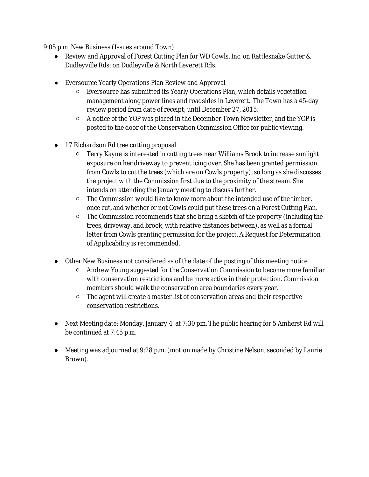9:05 p.m. New Business (Issues around Town)

- Review and Approval of Forest Cutting Plan for WD Cowls, Inc. on Rattlesnake Gutter & Dudleyville Rds; on Dudleyville & North Leverett Rds.
- Eversource Yearly Operations Plan Review and Approval
	- Eversource has submitted its Yearly Operations Plan, which details vegetation management along power lines and roadsides in Leverett. The Town has a 45-day review period from date of receipt; until December 27, 2015.
	- A notice of the YOP was placed in the December Town Newsletter, and the YOP is posted to the door of the Conservation Commission Office for public viewing.
- 17 Richardson Rd tree cutting proposal
	- Terry Kayne is interested in cutting trees near Williams Brook to increase sunlight exposure on her driveway to prevent icing over. She has been granted permission from Cowls to cut the trees (which are on Cowls property), so long as she discusses the project with the Commission first due to the proximity of the stream. She intends on attending the January meeting to discuss further.
	- The Commission would like to know more about the intended use of the timber, once cut, and whether or not Cowls could put these trees on a Forest Cutting Plan.
	- The Commission recommends that she bring a sketch of the property (including the trees, driveway, and brook, with relative distances between), as well as a formal letter from Cowls granting permission for the project. A Request for Determination of Applicability is recommended.
- Other New Business not considered as of the date of the posting of this meeting notice
	- Andrew Young suggested for the Conservation Commission to become more familiar with conservation restrictions and be more active in their protection. Commission members should walk the conservation area boundaries every year.
	- The agent will create a master list of conservation areas and their respective conservation restrictions.
- Next Meeting date: Monday, January 4 at 7:30 pm. The public hearing for 5 Amherst Rd will be continued at 7:45 p.m.
- Meeting was adjourned at 9:28 p.m. (motion made by Christine Nelson, seconded by Laurie Brown).